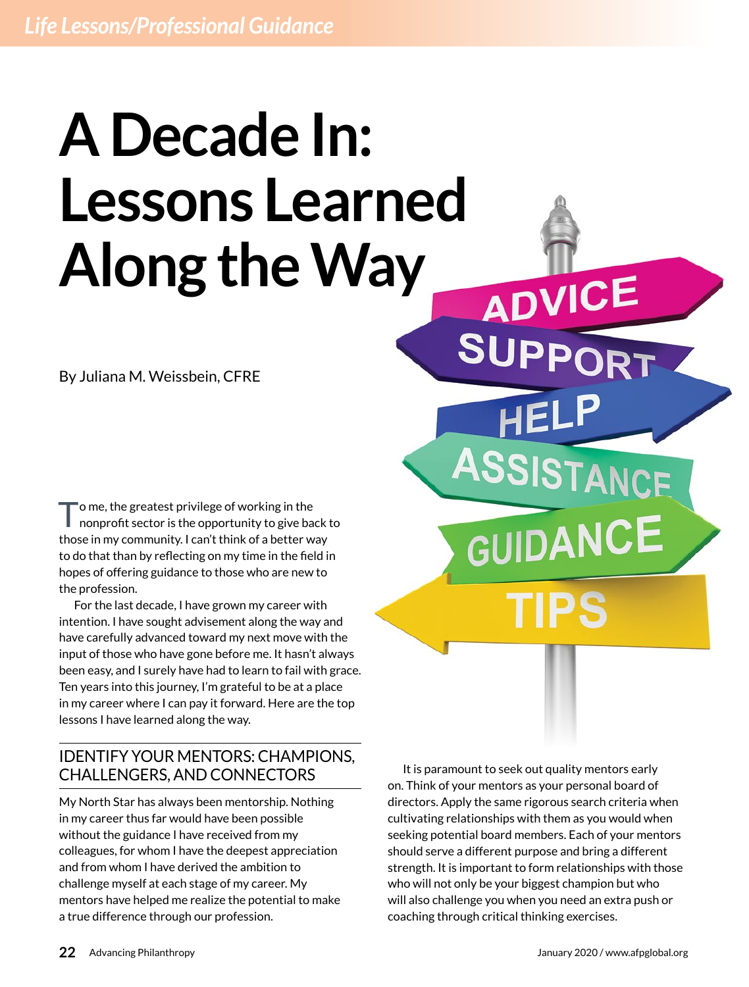# **A Decade In: Lessons Learned Along the Way**

By Juliana M. Weissbein, CFRE

To me, the greatest privilege of working in the<br>nonprofit sector is the opportunity to give back to those in my community. I can't think of a better way to do that than by reflecting on my time in the field in hopes of offering guidance to those who are new to the profession.

For the last decade, I have grown my career with intention. I have sought advisement along the way and have carefully advanced toward my next move with the input of those who have gone before me. It hasn't always been easy, and I surely have had to learn to fail with grace. Ten years into this journey, I'm grateful to be at a place in my career where I can pay it forward. Here are the top lessons I have learned along the way.

## IDENTIFY YOUR MENTORS: CHAMPIONS, CHALLENGERS, AND CONNECTORS

My North Star has always been mentorship. Nothing in my career thus far would have been possible without the guidance I have received from my colleagues, for whom I have the deepest appreciation and from whom I have derived the ambition to challenge myself at each stage of my career. My mentors have helped me realize the potential to make a true difference through our profession.

It is paramount to seek out quality mentors early on. Think of your mentors as your personal board of directors. Apply the same rigorous search criteria when cultivating relationships with them as you would when seeking potential board members. Each of your mentors should serve a different purpose and bring a different strength. It is important to form relationships with those who will not only be your biggest champion but who will also challenge you when you need an extra push or coaching through critical thinking exercises.

ADVICE

SISTANCE

**DANCE**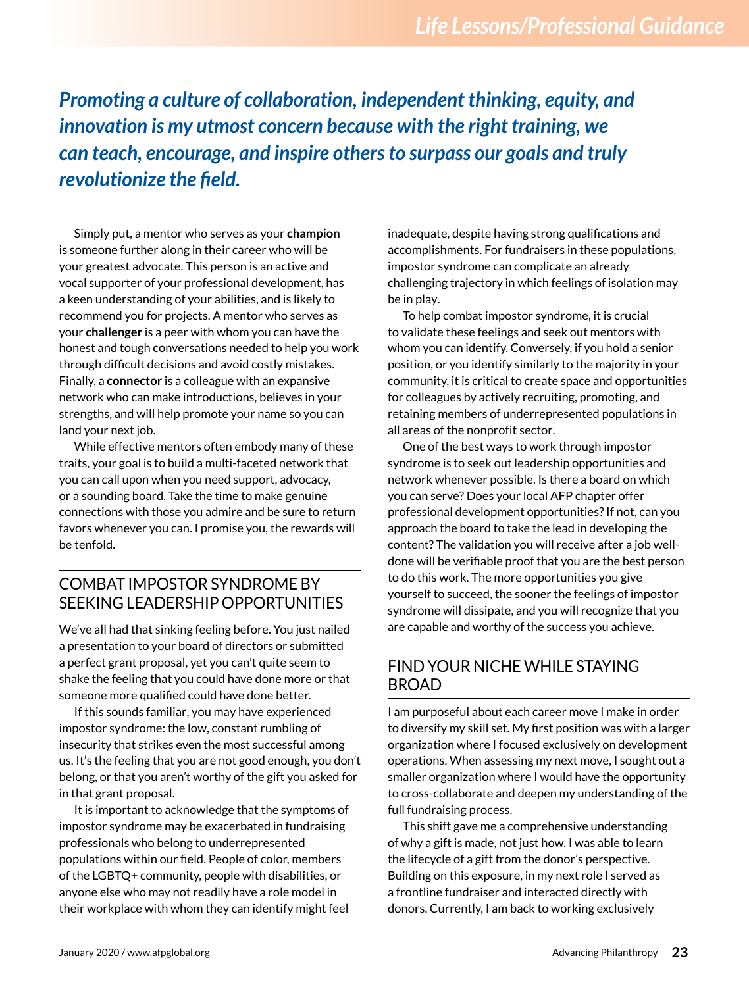*Promoting a culture of collaboration, independent thinking, equity, and innovation is my utmost concern because with the right training, we can teach, encourage, and inspire others to surpass our goals and truly revolutionize the field.*

Simply put, a mentor who serves as your **champion** is someone further along in their career who will be your greatest advocate. This person is an active and vocal supporter of your professional development, has a keen understanding of your abilities, and is likely to recommend you for projects. A mentor who serves as your **challenger** is a peer with whom you can have the honest and tough conversations needed to help you work through difficult decisions and avoid costly mistakes. Finally, a **connector** is a colleague with an expansive network who can make introductions, believes in your strengths, and will help promote your name so you can land your next job.

While effective mentors often embody many of these traits, your goal is to build a multi-faceted network that you can call upon when you need support, advocacy, or a sounding board. Take the time to make genuine connections with those you admire and be sure to return favors whenever you can. I promise you, the rewards will be tenfold.

### COMBAT IMPOSTOR SYNDROME BY SEEKING LEADERSHIP OPPORTUNITIES

We've all had that sinking feeling before. You just nailed a presentation to your board of directors or submitted a perfect grant proposal, yet you can't quite seem to shake the feeling that you could have done more or that someone more qualified could have done better.

If this sounds familiar, you may have experienced impostor syndrome: the low, constant rumbling of insecurity that strikes even the most successful among us. It's the feeling that you are not good enough, you don't belong, or that you aren't worthy of the gift you asked for in that grant proposal.

It is important to acknowledge that the symptoms of impostor syndrome may be exacerbated in fundraising professionals who belong to underrepresented populations within our field. People of color, members of the LGBTQ+ community, people with disabilities, or anyone else who may not readily have a role model in their workplace with whom they can identify might feel

inadequate, despite having strong qualifications and accomplishments. For fundraisers in these populations, impostor syndrome can complicate an already challenging trajectory in which feelings of isolation may be in play.

To help combat impostor syndrome, it is crucial to validate these feelings and seek out mentors with whom you can identify. Conversely, if you hold a senior position, or you identify similarly to the majority in your community, it is critical to create space and opportunities for colleagues by actively recruiting, promoting, and retaining members of underrepresented populations in all areas of the nonprofit sector.

One of the best ways to work through impostor syndrome is to seek out leadership opportunities and network whenever possible. Is there a board on which you can serve? Does your local AFP chapter offer professional development opportunities? If not, can you approach the board to take the lead in developing the content? The validation you will receive after a job welldone will be verifiable proof that you are the best person to do this work. The more opportunities you give yourself to succeed, the sooner the feelings of impostor syndrome will dissipate, and you will recognize that you are capable and worthy of the success you achieve.

#### FIND YOUR NICHE WHILE STAYING BROAD

I am purposeful about each career move I make in order to diversify my skill set. My first position was with a larger organization where I focused exclusively on development operations. When assessing my next move, I sought out a smaller organization where I would have the opportunity to cross-collaborate and deepen my understanding of the full fundraising process.

This shift gave me a comprehensive understanding of why a gift is made, not just how. I was able to learn the lifecycle of a gift from the donor's perspective. Building on this exposure, in my next role I served as a frontline fundraiser and interacted directly with donors. Currently, I am back to working exclusively